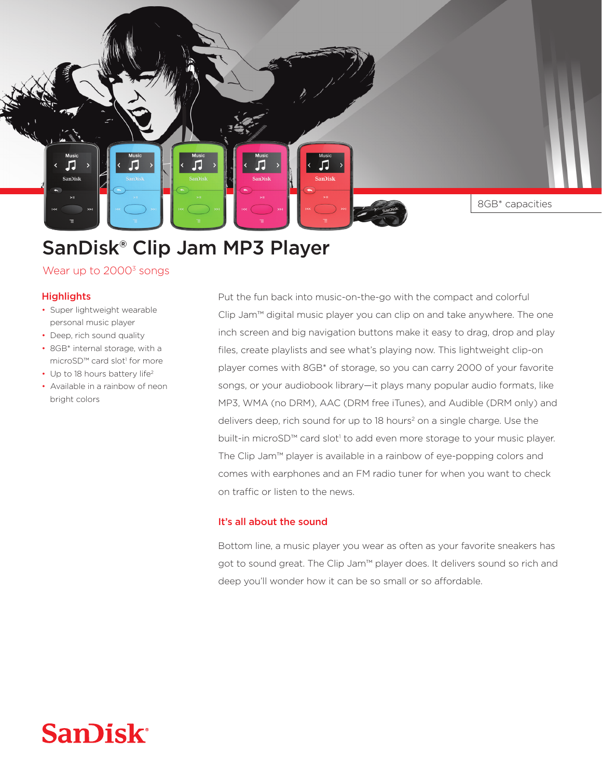8GB<sup>\*</sup> capacities

# SanDisk® Clip Jam MP3 Player

Wear up to  $2000<sup>3</sup>$  songs

#### **Highlights**

л

.<br>San)isk

- Super lightweight wearable personal music player
- Deep, rich sound quality
- 8GB\* internal storage, with a microSD<sup>™</sup> card slot<sup>1</sup> for more
- Up to 18 hours battery life<sup>2</sup>
- Available in a rainbow of neon bright colors

Put the fun back into music-on-the-go with the compact and colorful Clip Jam™ digital music player you can clip on and take anywhere. The one inch screen and big navigation buttons make it easy to drag, drop and play files, create playlists and see what's playing now. This lightweight clip-on player comes with 8GB\* of storage, so you can carry 2000 of your favorite songs, or your audiobook library—it plays many popular audio formats, like MP3, WMA (no DRM), AAC (DRM free iTunes), and Audible (DRM only) and delivers deep, rich sound for up to 18 hours<sup>2</sup> on a single charge. Use the built-in microSD™ card slot<sup>1</sup> to add even more storage to your music player. The Clip Jam™ player is available in a rainbow of eye-popping colors and comes with earphones and an FM radio tuner for when you want to check on traffic or listen to the news.

Л

### It's all about the sound

Bottom line, a music player you wear as often as your favorite sneakers has got to sound great. The Clip Jam<sup>™</sup> player does. It delivers sound so rich and deep you'll wonder how it can be so small or so affordable.